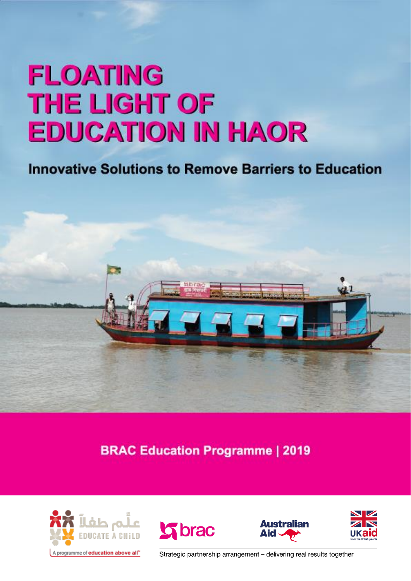# **FLOATING THE LIGHT OF EDUCATION IN HAOR**

### **Innovative Solutions to Remove Barriers to Education**



**BRAC Education Programme | 2019** 









Strategic partnership arrangement - delivering real results together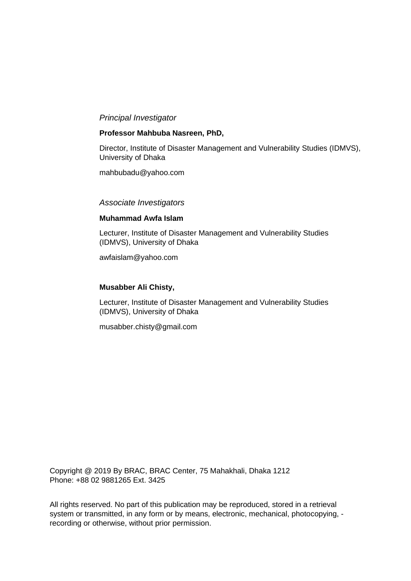#### *Principal Investigator*

#### **Professor Mahbuba Nasreen, PhD,**

Director, Institute of Disaster Management and Vulnerability Studies (IDMVS), University of Dhaka

mahbubadu@yahoo.com

#### *Associate Investigators*

#### **Muhammad Awfa Islam**

Lecturer, Institute of Disaster Management and Vulnerability Studies (IDMVS), University of Dhaka

awfaislam@yahoo.com

#### **Musabber Ali Chisty,**

Lecturer, Institute of Disaster Management and Vulnerability Studies (IDMVS), University of Dhaka

musabber.chisty@gmail.com

Copyright @ 2019 By BRAC, BRAC Center, 75 Mahakhali, Dhaka 1212 Phone: +88 02 9881265 Ext. 3425

All rights reserved. No part of this publication may be reproduced, stored in a retrieval system or transmitted, in any form or by means, electronic, mechanical, photocopying, recording or otherwise, without prior permission.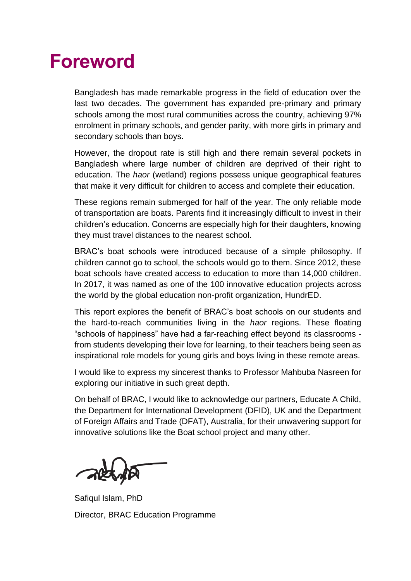### **Foreword**

Bangladesh has made remarkable progress in the field of education over the last two decades. The government has expanded pre-primary and primary schools among the most rural communities across the country, achieving 97% enrolment in primary schools, and gender parity, with more girls in primary and secondary schools than boys.

However, the dropout rate is still high and there remain several pockets in Bangladesh where large number of children are deprived of their right to education. The *haor* (wetland) regions possess unique geographical features that make it very difficult for children to access and complete their education.

These regions remain submerged for half of the year. The only reliable mode of transportation are boats. Parents find it increasingly difficult to invest in their children's education. Concerns are especially high for their daughters, knowing they must travel distances to the nearest school.

BRAC's boat schools were introduced because of a simple philosophy. If children cannot go to school, the schools would go to them. Since 2012, these boat schools have created access to education to more than 14,000 children. In 2017, it was named as one of the 100 innovative education projects across the world by the global education non-profit organization, HundrED.

This report explores the benefit of BRAC's boat schools on our students and the hard-to-reach communities living in the *haor* regions. These floating "schools of happiness" have had a far-reaching effect beyond its classrooms from students developing their love for learning, to their teachers being seen as inspirational role models for young girls and boys living in these remote areas.

I would like to express my sincerest thanks to Professor Mahbuba Nasreen for exploring our initiative in such great depth.

On behalf of BRAC, I would like to acknowledge our partners, Educate A Child, the Department for International Development (DFID), UK and the Department of Foreign Affairs and Trade (DFAT), Australia, for their unwavering support for innovative solutions like the Boat school project and many other.

Safiqul Islam, PhD Director, BRAC Education Programme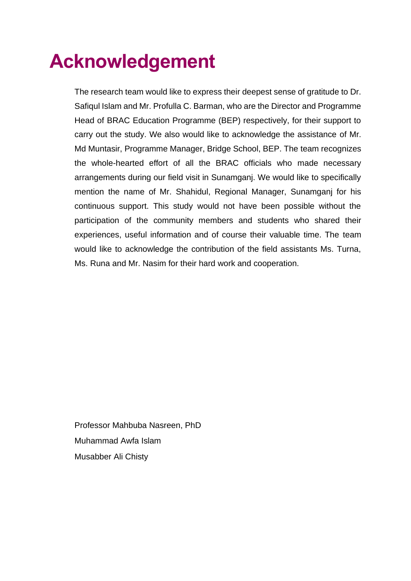## **Acknowledgement**

The research team would like to express their deepest sense of gratitude to Dr. Safiqul Islam and Mr. Profulla C. Barman, who are the Director and Programme Head of BRAC Education Programme (BEP) respectively, for their support to carry out the study. We also would like to acknowledge the assistance of Mr. Md Muntasir, Programme Manager, Bridge School, BEP. The team recognizes the whole-hearted effort of all the BRAC officials who made necessary arrangements during our field visit in Sunamganj. We would like to specifically mention the name of Mr. Shahidul, Regional Manager, Sunamganj for his continuous support. This study would not have been possible without the participation of the community members and students who shared their experiences, useful information and of course their valuable time. The team would like to acknowledge the contribution of the field assistants Ms. Turna, Ms. Runa and Mr. Nasim for their hard work and cooperation.

Professor Mahbuba Nasreen, PhD Muhammad Awfa Islam Musabber Ali Chisty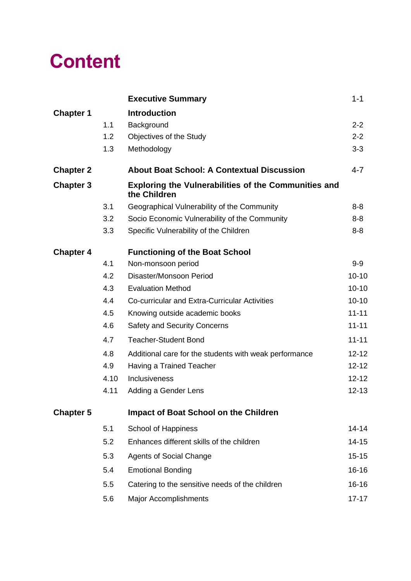## **Content**

|                  |      | <b>Executive Summary</b>                                                    | $1 - 1$   |
|------------------|------|-----------------------------------------------------------------------------|-----------|
| <b>Chapter 1</b> |      | <b>Introduction</b>                                                         |           |
|                  | 1.1  | Background                                                                  | $2 - 2$   |
|                  | 1.2  | Objectives of the Study                                                     | $2 - 2$   |
|                  | 1.3  | Methodology                                                                 | $3-3$     |
| <b>Chapter 2</b> |      | <b>About Boat School: A Contextual Discussion</b>                           | $4 - 7$   |
| <b>Chapter 3</b> |      | <b>Exploring the Vulnerabilities of the Communities and</b><br>the Children |           |
|                  | 3.1  | Geographical Vulnerability of the Community                                 | $8 - 8$   |
|                  | 3.2  | Socio Economic Vulnerability of the Community                               | $8 - 8$   |
|                  | 3.3  | Specific Vulnerability of the Children                                      | $8 - 8$   |
| <b>Chapter 4</b> |      | <b>Functioning of the Boat School</b>                                       |           |
|                  | 4.1  | Non-monsoon period                                                          | $9-9$     |
|                  | 4.2  | Disaster/Monsoon Period                                                     | $10 - 10$ |
|                  | 4.3  | <b>Evaluation Method</b>                                                    | $10 - 10$ |
|                  | 4.4  | Co-curricular and Extra-Curricular Activities                               | $10 - 10$ |
|                  | 4.5  | Knowing outside academic books                                              | $11 - 11$ |
|                  | 4.6  | <b>Safety and Security Concerns</b>                                         | $11 - 11$ |
|                  | 4.7  | <b>Teacher-Student Bond</b>                                                 | $11 - 11$ |
|                  | 4.8  | Additional care for the students with weak performance                      | $12 - 12$ |
|                  | 4.9  | Having a Trained Teacher                                                    | $12 - 12$ |
|                  | 4.10 | Inclusiveness                                                               | $12 - 12$ |
|                  | 4.11 | Adding a Gender Lens                                                        | $12 - 13$ |
| <b>Chapter 5</b> |      | <b>Impact of Boat School on the Children</b>                                |           |
|                  | 5.1  | School of Happiness                                                         | $14 - 14$ |
|                  | 5.2  | Enhances different skills of the children                                   | $14 - 15$ |
|                  | 5.3  | <b>Agents of Social Change</b>                                              | $15 - 15$ |
|                  | 5.4  | <b>Emotional Bonding</b>                                                    | 16-16     |
|                  | 5.5  | Catering to the sensitive needs of the children                             | 16-16     |
|                  | 5.6  | <b>Major Accomplishments</b>                                                | $17 - 17$ |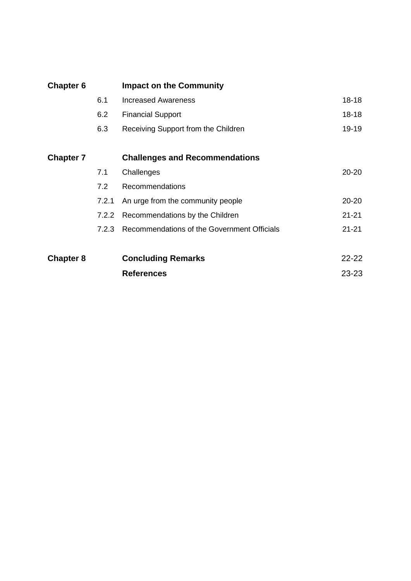| <b>Chapter 6</b> |       | <b>Impact on the Community</b>              |           |
|------------------|-------|---------------------------------------------|-----------|
|                  | 6.1   | <b>Increased Awareness</b>                  | $18 - 18$ |
|                  | 6.2   | <b>Financial Support</b>                    | $18 - 18$ |
|                  | 6.3   | Receiving Support from the Children         | 19-19     |
| <b>Chapter 7</b> |       | <b>Challenges and Recommendations</b>       |           |
|                  | 7.1   | Challenges                                  | $20 - 20$ |
|                  | 7.2   | Recommendations                             |           |
|                  | 7.2.1 | An urge from the community people           | $20 - 20$ |
|                  | 7.2.2 | Recommendations by the Children             | $21 - 21$ |
|                  | 7.2.3 | Recommendations of the Government Officials | $21 - 21$ |
| <b>Chapter 8</b> |       | <b>Concluding Remarks</b>                   | $22 - 22$ |
|                  |       | <b>References</b>                           | $23 - 23$ |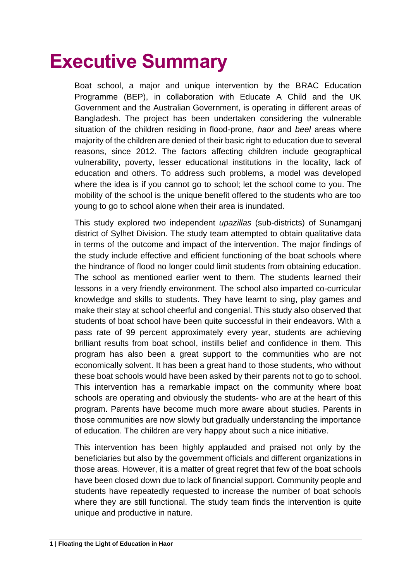## **Executive Summary**

Boat school, a major and unique intervention by the BRAC Education Programme (BEP), in collaboration with Educate A Child and the UK Government and the Australian Government, is operating in different areas of Bangladesh. The project has been undertaken considering the vulnerable situation of the children residing in flood-prone, *haor* and *beel* areas where majority of the children are denied of their basic right to education due to several reasons, since 2012. The factors affecting children include geographical vulnerability, poverty, lesser educational institutions in the locality, lack of education and others. To address such problems, a model was developed where the idea is if you cannot go to school; let the school come to you. The mobility of the school is the unique benefit offered to the students who are too young to go to school alone when their area is inundated.

This study explored two independent *upazillas* (sub-districts) of Sunamganj district of Sylhet Division. The study team attempted to obtain qualitative data in terms of the outcome and impact of the intervention. The major findings of the study include effective and efficient functioning of the boat schools where the hindrance of flood no longer could limit students from obtaining education. The school as mentioned earlier went to them. The students learned their lessons in a very friendly environment. The school also imparted co-curricular knowledge and skills to students. They have learnt to sing, play games and make their stay at school cheerful and congenial. This study also observed that students of boat school have been quite successful in their endeavors. With a pass rate of 99 percent approximately every year, students are achieving brilliant results from boat school, instills belief and confidence in them. This program has also been a great support to the communities who are not economically solvent. It has been a great hand to those students, who without these boat schools would have been asked by their parents not to go to school. This intervention has a remarkable impact on the community where boat schools are operating and obviously the students- who are at the heart of this program. Parents have become much more aware about studies. Parents in those communities are now slowly but gradually understanding the importance of education. The children are very happy about such a nice initiative.

This intervention has been highly applauded and praised not only by the beneficiaries but also by the government officials and different organizations in those areas. However, it is a matter of great regret that few of the boat schools have been closed down due to lack of financial support. Community people and students have repeatedly requested to increase the number of boat schools where they are still functional. The study team finds the intervention is quite unique and productive in nature.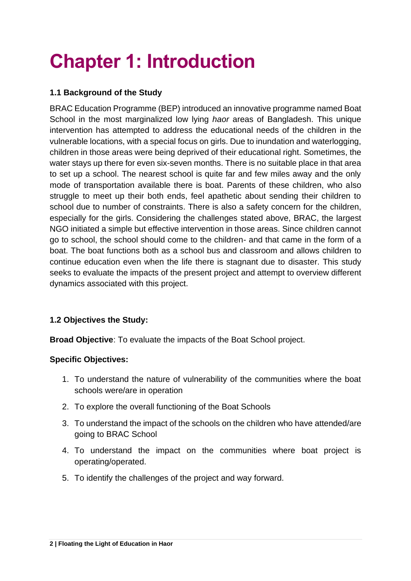## **Chapter 1: Introduction**

#### **1.1 Background of the Study**

BRAC Education Programme (BEP) introduced an innovative programme named Boat School in the most marginalized low lying *haor* areas of Bangladesh. This unique intervention has attempted to address the educational needs of the children in the vulnerable locations, with a special focus on girls. Due to inundation and waterlogging, children in those areas were being deprived of their educational right. Sometimes, the water stays up there for even six-seven months. There is no suitable place in that area to set up a school. The nearest school is quite far and few miles away and the only mode of transportation available there is boat. Parents of these children, who also struggle to meet up their both ends, feel apathetic about sending their children to school due to number of constraints. There is also a safety concern for the children, especially for the girls. Considering the challenges stated above, BRAC, the largest NGO initiated a simple but effective intervention in those areas. Since children cannot go to school, the school should come to the children- and that came in the form of a boat. The boat functions both as a school bus and classroom and allows children to continue education even when the life there is stagnant due to disaster. This study seeks to evaluate the impacts of the present project and attempt to overview different dynamics associated with this project.

#### **1.2 Objectives the Study:**

**Broad Objective**: To evaluate the impacts of the Boat School project.

#### **Specific Objectives:**

- 1. To understand the nature of vulnerability of the communities where the boat schools were/are in operation
- 2. To explore the overall functioning of the Boat Schools
- 3. To understand the impact of the schools on the children who have attended/are going to BRAC School
- 4. To understand the impact on the communities where boat project is operating/operated.
- 5. To identify the challenges of the project and way forward.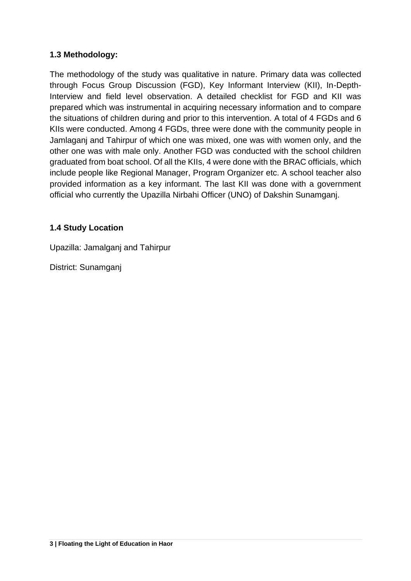#### **1.3 Methodology:**

The methodology of the study was qualitative in nature. Primary data was collected through Focus Group Discussion (FGD), Key Informant Interview (KII), In-Depth-Interview and field level observation. A detailed checklist for FGD and KII was prepared which was instrumental in acquiring necessary information and to compare the situations of children during and prior to this intervention. A total of 4 FGDs and 6 KIIs were conducted. Among 4 FGDs, three were done with the community people in Jamlaganj and Tahirpur of which one was mixed, one was with women only, and the other one was with male only. Another FGD was conducted with the school children graduated from boat school. Of all the KIIs, 4 were done with the BRAC officials, which include people like Regional Manager, Program Organizer etc. A school teacher also provided information as a key informant. The last KII was done with a government official who currently the Upazilla Nirbahi Officer (UNO) of Dakshin Sunamganj.

#### **1.4 Study Location**

Upazilla: Jamalganj and Tahirpur

District: Sunamganj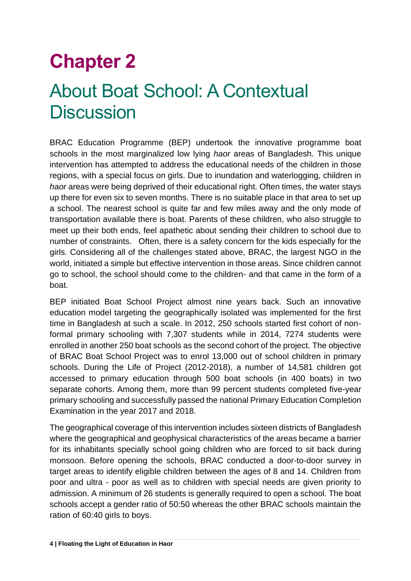## **Chapter 2**

## About Boat School: A Contextual **Discussion**

BRAC Education Programme (BEP) undertook the innovative programme boat schools in the most marginalized low lying *haor* areas of Bangladesh. This unique intervention has attempted to address the educational needs of the children in those regions, with a special focus on girls. Due to inundation and waterlogging, children in *haor* areas were being deprived of their educational right. Often times, the water stays up there for even six to seven months. There is no suitable place in that area to set up a school. The nearest school is quite far and few miles away and the only mode of transportation available there is boat. Parents of these children, who also struggle to meet up their both ends, feel apathetic about sending their children to school due to number of constraints. Often, there is a safety concern for the kids especially for the girls. Considering all of the challenges stated above, BRAC, the largest NGO in the world, initiated a simple but effective intervention in those areas. Since children cannot go to school, the school should come to the children- and that came in the form of a boat.

BEP initiated Boat School Project almost nine years back. Such an innovative education model targeting the geographically isolated was implemented for the first time in Bangladesh at such a scale. In 2012, 250 schools started first cohort of nonformal primary schooling with 7,307 students while in 2014, 7274 students were enrolled in another 250 boat schools as the second cohort of the project. The objective of BRAC Boat School Project was to enrol 13,000 out of school children in primary schools. During the Life of Project (2012-2018), a number of 14,581 children got accessed to primary education through 500 boat schools (in 400 boats) in two separate cohorts. Among them, more than 99 percent students completed five-year primary schooling and successfully passed the national Primary Education Completion Examination in the year 2017 and 2018.

The geographical coverage of this intervention includes sixteen districts of Bangladesh where the geographical and geophysical characteristics of the areas became a barrier for its inhabitants specially school going children who are forced to sit back during monsoon. Before opening the schools, BRAC conducted a door-to-door survey in target areas to identify eligible children between the ages of 8 and 14. Children from poor and ultra - poor as well as to children with special needs are given priority to admission. A minimum of 26 students is generally required to open a school. The boat schools accept a gender ratio of 50:50 whereas the other BRAC schools maintain the ration of 60:40 girls to boys.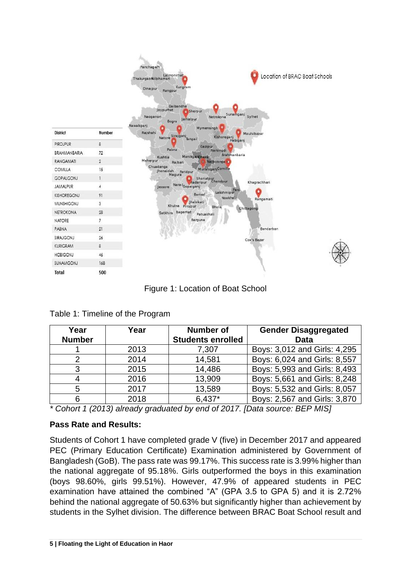| <b>District</b>  | Number         |
|------------------|----------------|
| <b>PIROJPUR</b>  | 8              |
| BRAHMANBARIA     | 72             |
| <b>RANGAMATI</b> | $\overline{2}$ |
| COMILLA          | 15             |
| <b>GOPALGONJ</b> | $\mathbf{I}$   |
| <b>JAMALPUR</b>  | 4              |
| KISHOREGONJ      | 91             |
| MUNSHIGONJ       | 3              |
|                  |                |
| NETROKONA        | 28             |
| NATORE           | $\overline{7}$ |
| PABNA            | 21             |
| SIRAJGONJ        | 26             |
| <b>KURIGRAM</b>  | 8              |
| <b>HOBIGONJ</b>  | 46             |
| SUNAMGONJ        | 168            |
| <b>Total</b>     | 500            |

Figure 1: Location of Boat School

| Year          | Year | <b>Number of</b>         | <b>Gender Disaggregated</b>  |  |
|---------------|------|--------------------------|------------------------------|--|
| <b>Number</b> |      | <b>Students enrolled</b> | <b>Data</b>                  |  |
|               | 2013 | 7,307                    | Boys: 3,012 and Girls: 4,295 |  |
|               | 2014 | 14,581                   | Boys: 6,024 and Girls: 8,557 |  |
| 3             | 2015 | 14,486                   | Boys: 5,993 and Girls: 8,493 |  |
|               | 2016 | 13,909                   | Boys: 5,661 and Girls: 8,248 |  |
| 5             | 2017 | 13,589                   | Boys: 5,532 and Girls: 8,057 |  |
| 6             | 2018 | $6.437*$                 | Boys: 2,567 and Girls: 3,870 |  |

#### Table 1: Timeline of the Program

*\* Cohort 1 (2013) already graduated by end of 2017. [Data source: BEP MIS]*

#### **Pass Rate and Results:**

Students of Cohort 1 have completed grade V (five) in December 2017 and appeared PEC (Primary Education Certificate) Examination administered by Government of Bangladesh (GoB). The pass rate was 99.17%. This success rate is 3.99% higher than the national aggregate of 95.18%. Girls outperformed the boys in this examination (boys 98.60%, girls 99.51%). However, 47.9% of appeared students in PEC examination have attained the combined "A" (GPA 3.5 to GPA 5) and it is 2.72% behind the national aggregate of 50.63% but significantly higher than achievement by students in the Sylhet division. The difference between BRAC Boat School result and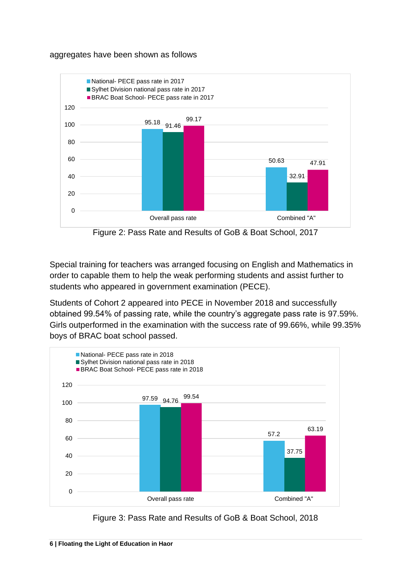#### aggregates have been shown as follows





Special training for teachers was arranged focusing on English and Mathematics in order to capable them to help the weak performing students and assist further to students who appeared in government examination (PECE).

Students of Cohort 2 appeared into PECE in November 2018 and successfully obtained 99.54% of passing rate, while the country's aggregate pass rate is 97.59%. Girls outperformed in the examination with the success rate of 99.66%, while 99.35% boys of BRAC boat school passed.



Figure 3: Pass Rate and Results of GoB & Boat School, 2018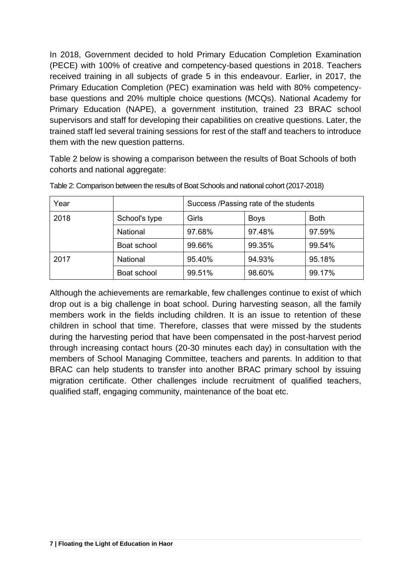In 2018, Government decided to hold Primary Education Completion Examination (PECE) with 100% of creative and competency-based questions in 2018. Teachers received training in all subjects of grade 5 in this endeavour. Earlier, in 2017, the Primary Education Completion (PEC) examination was held with 80% competencybase questions and 20% multiple choice questions (MCQs). National Academy for Primary Education (NAPE), a government institution, trained 23 BRAC school supervisors and staff for developing their capabilities on creative questions. Later, the trained staff led several training sessions for rest of the staff and teachers to introduce them with the new question patterns.

Table 2 below is showing a comparison between the results of Boat Schools of both cohorts and national aggregate:

| Year |               | Success /Passing rate of the students |             |             |
|------|---------------|---------------------------------------|-------------|-------------|
| 2018 | School's type | Girls                                 | <b>Boys</b> | <b>Both</b> |
|      | National      | 97.68%                                | 97.48%      | 97.59%      |
|      | Boat school   | 99.66%                                | 99.35%      | 99.54%      |
| 2017 | National      | 95.40%                                | 94.93%      | 95.18%      |
|      | Boat school   | 99.51%                                | 98.60%      | 99.17%      |

Table 2: Comparison between the results of Boat Schools and national cohort (2017-2018)

Although the achievements are remarkable, few challenges continue to exist of which drop out is a big challenge in boat school. During harvesting season, all the family members work in the fields including children. It is an issue to retention of these children in school that time. Therefore, classes that were missed by the students during the harvesting period that have been compensated in the post-harvest period through increasing contact hours (20-30 minutes each day) in consultation with the members of School Managing Committee, teachers and parents. In addition to that BRAC can help students to transfer into another BRAC primary school by issuing migration certificate. Other challenges include recruitment of qualified teachers, qualified staff, engaging community, maintenance of the boat etc.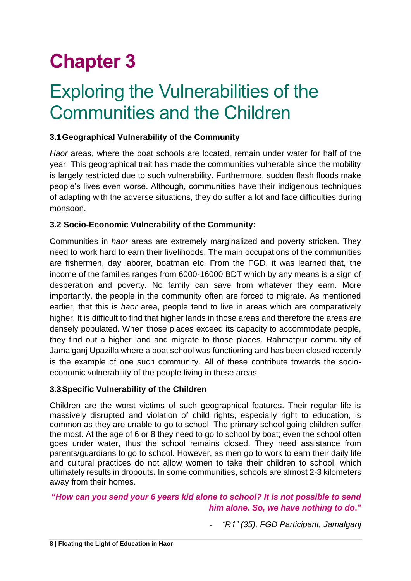## **Chapter 3**

### Exploring the Vulnerabilities of the Communities and the Children

#### **3.1Geographical Vulnerability of the Community**

*Haor* areas, where the boat schools are located, remain under water for half of the year. This geographical trait has made the communities vulnerable since the mobility is largely restricted due to such vulnerability. Furthermore, sudden flash floods make people's lives even worse. Although, communities have their indigenous techniques of adapting with the adverse situations, they do suffer a lot and face difficulties during monsoon.

#### **3.2 Socio-Economic Vulnerability of the Community:**

Communities in *haor* areas are extremely marginalized and poverty stricken. They need to work hard to earn their livelihoods. The main occupations of the communities are fishermen, day laborer, boatman etc. From the FGD, it was learned that, the income of the families ranges from 6000-16000 BDT which by any means is a sign of desperation and poverty. No family can save from whatever they earn. More importantly, the people in the community often are forced to migrate. As mentioned earlier, that this is *haor* area, people tend to live in areas which are comparatively higher. It is difficult to find that higher lands in those areas and therefore the areas are densely populated. When those places exceed its capacity to accommodate people, they find out a higher land and migrate to those places. Rahmatpur community of Jamalganj Upazilla where a boat school was functioning and has been closed recently is the example of one such community. All of these contribute towards the socioeconomic vulnerability of the people living in these areas.

#### **3.3Specific Vulnerability of the Children**

Children are the worst victims of such geographical features. Their regular life is massively disrupted and violation of child rights, especially right to education, is common as they are unable to go to school. The primary school going children suffer the most. At the age of 6 or 8 they need to go to school by boat; even the school often goes under water, thus the school remains closed. They need assistance from parents/guardians to go to school. However, as men go to work to earn their daily life and cultural practices do not allow women to take their children to school, which ultimately results in dropouts**.** In some communities, schools are almost 2-3 kilometers away from their homes.

#### **"***How can you send your 6 years kid alone to school? It is not possible to send him alone. So, we have nothing to do***."**

- *"R1" (35), FGD Participant, Jamalganj*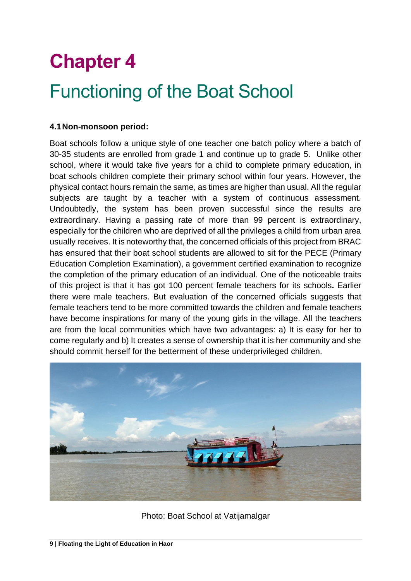## **Chapter 4**

### Functioning of the Boat School

#### **4.1Non-monsoon period:**

Boat schools follow a unique style of one teacher one batch policy where a batch of 30-35 students are enrolled from grade 1 and continue up to grade 5. Unlike other school, where it would take five years for a child to complete primary education, in boat schools children complete their primary school within four years. However, the physical contact hours remain the same, as times are higher than usual. All the regular subjects are taught by a teacher with a system of continuous assessment. Undoubtedly, the system has been proven successful since the results are extraordinary. Having a passing rate of more than 99 percent is extraordinary, especially for the children who are deprived of all the privileges a child from urban area usually receives. It is noteworthy that, the concerned officials of this project from BRAC has ensured that their boat school students are allowed to sit for the PECE (Primary Education Completion Examination), a government certified examination to recognize the completion of the primary education of an individual. One of the noticeable traits of this project is that it has got 100 percent female teachers for its schools**.** Earlier there were male teachers. But evaluation of the concerned officials suggests that female teachers tend to be more committed towards the children and female teachers have become inspirations for many of the young girls in the village. All the teachers are from the local communities which have two advantages: a) It is easy for her to come regularly and b) It creates a sense of ownership that it is her community and she should commit herself for the betterment of these underprivileged children.



Photo: Boat School at Vatijamalgar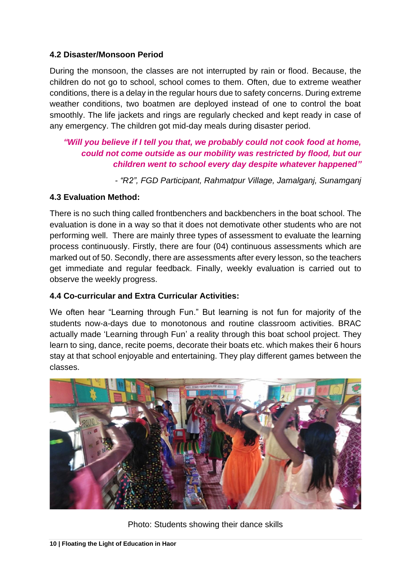#### **4.2 Disaster/Monsoon Period**

During the monsoon, the classes are not interrupted by rain or flood. Because, the children do not go to school, school comes to them. Often, due to extreme weather conditions, there is a delay in the regular hours due to safety concerns. During extreme weather conditions, two boatmen are deployed instead of one to control the boat smoothly. The life jackets and rings are regularly checked and kept ready in case of any emergency. The children got mid-day meals during disaster period.

#### *"Will you believe if I tell you that, we probably could not cook food at home, could not come outside as our mobility was restricted by flood, but our children went to school every day despite whatever happened"*

*- "R2", FGD Participant, Rahmatpur Village, Jamalganj, Sunamganj*

#### **4.3 Evaluation Method:**

There is no such thing called frontbenchers and backbenchers in the boat school. The evaluation is done in a way so that it does not demotivate other students who are not performing well. There are mainly three types of assessment to evaluate the learning process continuously. Firstly, there are four (04) continuous assessments which are marked out of 50. Secondly, there are assessments after every lesson, so the teachers get immediate and regular feedback. Finally, weekly evaluation is carried out to observe the weekly progress.

#### **4.4 Co-curricular and Extra Curricular Activities:**

We often hear "Learning through Fun." But learning is not fun for majority of the students now-a-days due to monotonous and routine classroom activities. BRAC actually made 'Learning through Fun' a reality through this boat school project. They learn to sing, dance, recite poems, decorate their boats etc. which makes their 6 hours stay at that school enjoyable and entertaining. They play different games between the classes.



Photo: Students showing their dance skills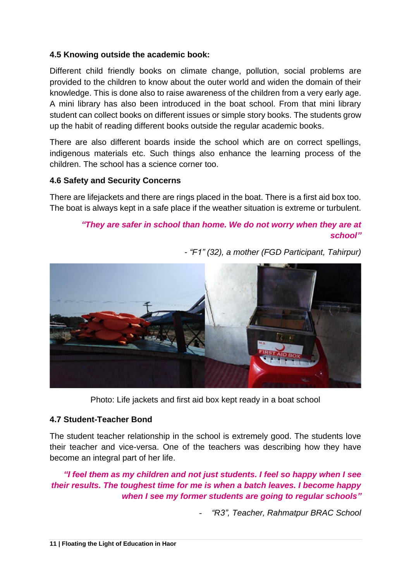#### **4.5 Knowing outside the academic book:**

Different child friendly books on climate change, pollution, social problems are provided to the children to know about the outer world and widen the domain of their knowledge. This is done also to raise awareness of the children from a very early age. A mini library has also been introduced in the boat school. From that mini library student can collect books on different issues or simple story books. The students grow up the habit of reading different books outside the regular academic books.

There are also different boards inside the school which are on correct spellings, indigenous materials etc. Such things also enhance the learning process of the children. The school has a science corner too.

#### **4.6 Safety and Security Concerns**

There are lifejackets and there are rings placed in the boat. There is a first aid box too. The boat is always kept in a safe place if the weather situation is extreme or turbulent.

#### *"They are safer in school than home. We do not worry when they are at school"*



*- "F1" (32), a mother (FGD Participant, Tahirpur)*

Photo: Life jackets and first aid box kept ready in a boat school

#### **4.7 Student-Teacher Bond**

The student teacher relationship in the school is extremely good. The students love their teacher and vice-versa. One of the teachers was describing how they have become an integral part of her life.

*"I feel them as my children and not just students. I feel so happy when I see their results. The toughest time for me is when a batch leaves. I become happy when I see my former students are going to regular schools"*

- *"R3", Teacher, Rahmatpur BRAC School*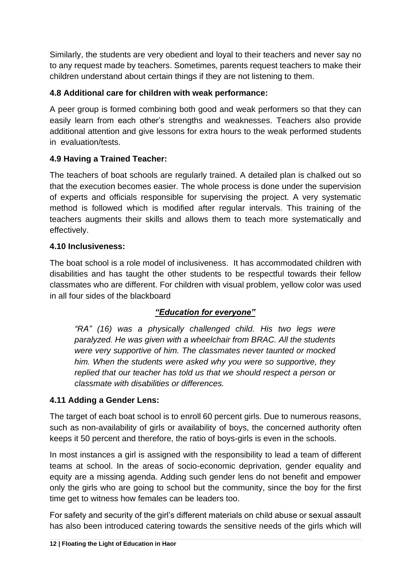Similarly, the students are very obedient and loyal to their teachers and never say no to any request made by teachers. Sometimes, parents request teachers to make their children understand about certain things if they are not listening to them.

#### **4.8 Additional care for children with weak performance:**

A peer group is formed combining both good and weak performers so that they can easily learn from each other's strengths and weaknesses. Teachers also provide additional attention and give lessons for extra hours to the weak performed students in evaluation/tests.

#### **4.9 Having a Trained Teacher:**

The teachers of boat schools are regularly trained. A detailed plan is chalked out so that the execution becomes easier. The whole process is done under the supervision of experts and officials responsible for supervising the project. A very systematic method is followed which is modified after regular intervals. This training of the teachers augments their skills and allows them to teach more systematically and effectively.

#### **4.10 Inclusiveness:**

The boat school is a role model of inclusiveness. It has accommodated children with disabilities and has taught the other students to be respectful towards their fellow classmates who are different. For children with visual problem, yellow color was used in all four sides of the blackboard

#### *"Education for everyone"*

*"RA" (16) was a physically challenged child. His two legs were paralyzed. He was given with a wheelchair from BRAC. All the students were very supportive of him. The classmates never taunted or mocked him. When the students were asked why you were so supportive, they replied that our teacher has told us that we should respect a person or classmate with disabilities or differences.*

#### **4.11 Adding a Gender Lens:**

The target of each boat school is to enroll 60 percent girls. Due to numerous reasons, such as non-availability of girls or availability of boys, the concerned authority often keeps it 50 percent and therefore, the ratio of boys-girls is even in the schools.

In most instances a girl is assigned with the responsibility to lead a team of different teams at school. In the areas of socio-economic deprivation, gender equality and equity are a missing agenda. Adding such gender lens do not benefit and empower only the girls who are going to school but the community, since the boy for the first time get to witness how females can be leaders too.

For safety and security of the girl's different materials on child abuse or sexual assault has also been introduced catering towards the sensitive needs of the girls which will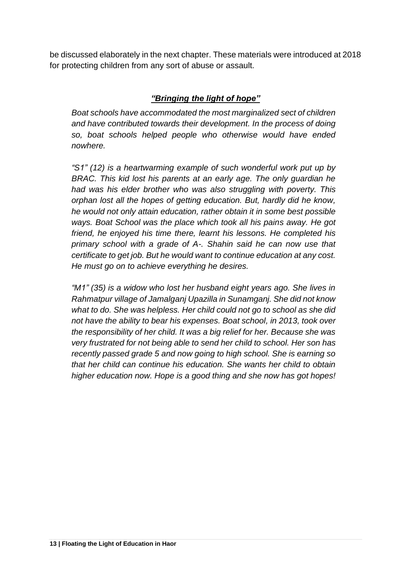be discussed elaborately in the next chapter. These materials were introduced at 2018 for protecting children from any sort of abuse or assault.

#### *"Bringing the light of hope"*

*Boat schools have accommodated the most marginalized sect of children and have contributed towards their development. In the process of doing so, boat schools helped people who otherwise would have ended nowhere.* 

*"S1" (12) is a heartwarming example of such wonderful work put up by BRAC. This kid lost his parents at an early age. The only guardian he had was his elder brother who was also struggling with poverty. This orphan lost all the hopes of getting education. But, hardly did he know, he would not only attain education, rather obtain it in some best possible ways. Boat School was the place which took all his pains away. He got friend, he enjoyed his time there, learnt his lessons. He completed his primary school with a grade of A-. Shahin said he can now use that certificate to get job. But he would want to continue education at any cost. He must go on to achieve everything he desires.* 

*"M1" (35) is a widow who lost her husband eight years ago. She lives in Rahmatpur village of Jamalganj Upazilla in Sunamganj. She did not know what to do. She was helpless. Her child could not go to school as she did not have the ability to bear his expenses. Boat school, in 2013, took over the responsibility of her child. It was a big relief for her. Because she was very frustrated for not being able to send her child to school. Her son has recently passed grade 5 and now going to high school. She is earning so that her child can continue his education. She wants her child to obtain higher education now. Hope is a good thing and she now has got hopes!*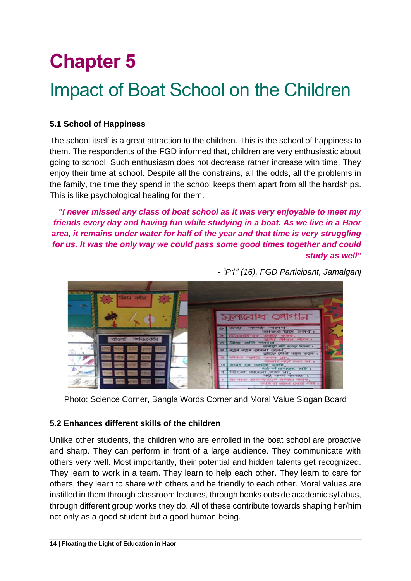## **Chapter 5**

### Impact of Boat School on the Children

#### **5.1 School of Happiness**

The school itself is a great attraction to the children. This is the school of happiness to them. The respondents of the FGD informed that, children are very enthusiastic about going to school. Such enthusiasm does not decrease rather increase with time. They enjoy their time at school. Despite all the constrains, all the odds, all the problems in the family, the time they spend in the school keeps them apart from all the hardships. This is like psychological healing for them.

*"I never missed any class of boat school as it was very enjoyable to meet my friends every day and having fun while studying in a boat. As we live in a Haor area, it remains under water for half of the year and that time is very struggling for us. It was the only way we could pass some good times together and could study as well"* 



*- "P1" (16), FGD Participant, Jamalganj*

Photo: Science Corner, Bangla Words Corner and Moral Value Slogan Board

#### **5.2 Enhances different skills of the children**

Unlike other students, the children who are enrolled in the boat school are proactive and sharp. They can perform in front of a large audience. They communicate with others very well. Most importantly, their potential and hidden talents get recognized. They learn to work in a team. They learn to help each other. They learn to care for others, they learn to share with others and be friendly to each other. Moral values are instilled in them through classroom lectures, through books outside academic syllabus, through different group works they do. All of these contribute towards shaping her/him not only as a good student but a good human being.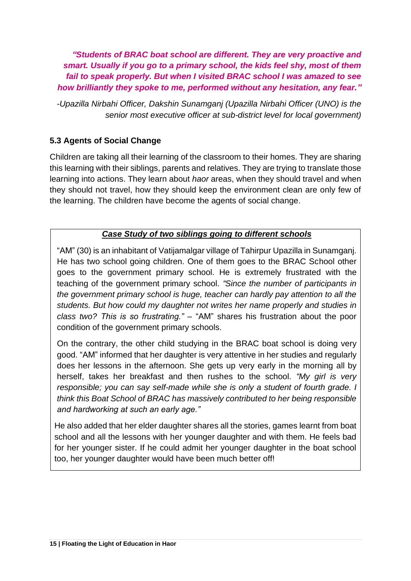*"Students of BRAC boat school are different. They are very proactive and smart. Usually if you go to a primary school, the kids feel shy, most of them fail to speak properly. But when I visited BRAC school I was amazed to see how brilliantly they spoke to me, performed without any hesitation, any fear."*

*-Upazilla Nirbahi Officer, Dakshin Sunamganj (Upazilla Nirbahi Officer (UNO) is the senior most executive officer at sub-district level for local government)*

#### **5.3 Agents of Social Change**

Children are taking all their learning of the classroom to their homes. They are sharing this learning with their siblings, parents and relatives. They are trying to translate those learning into actions. They learn about *haor* areas, when they should travel and when they should not travel, how they should keep the environment clean are only few of the learning. The children have become the agents of social change.

#### *Case Study of two siblings going to different schools*

"AM" (30) is an inhabitant of Vatijamalgar village of Tahirpur Upazilla in Sunamganj. He has two school going children. One of them goes to the BRAC School other goes to the government primary school. He is extremely frustrated with the teaching of the government primary school. *"Since the number of participants in the government primary school is huge, teacher can hardly pay attention to all the students. But how could my daughter not writes her name properly and studies in class two? This is so frustrating."* – "AM" shares his frustration about the poor condition of the government primary schools.

On the contrary, the other child studying in the BRAC boat school is doing very good. "AM" informed that her daughter is very attentive in her studies and regularly does her lessons in the afternoon. She gets up very early in the morning all by herself, takes her breakfast and then rushes to the school. *"My girl is very responsible; you can say self-made while she is only a student of fourth grade. I think this Boat School of BRAC has massively contributed to her being responsible and hardworking at such an early age."*

He also added that her elder daughter shares all the stories, games learnt from boat school and all the lessons with her younger daughter and with them. He feels bad for her younger sister. If he could admit her younger daughter in the boat school too, her younger daughter would have been much better off!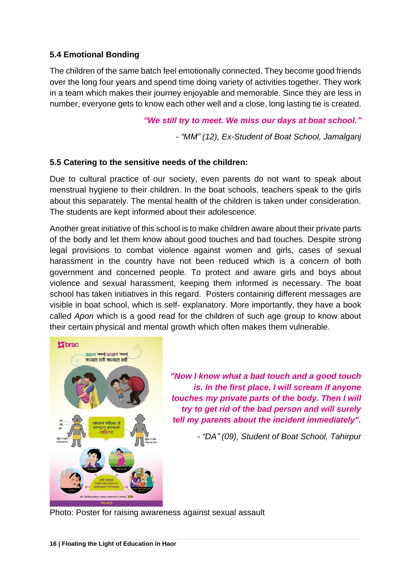#### **5.4 Emotional Bonding**

The children of the same batch feel emotionally connected. They become good friends over the long four years and spend time doing variety of activities together. They work in a team which makes their journey enjoyable and memorable. Since they are less in number, everyone gets to know each other well and a close, long lasting tie is created.

*"We still try to meet. We miss our days at boat school."*

*- "MM" (12), Ex-Student of Boat School, Jamalganj*

#### **5.5 Catering to the sensitive needs of the children:**

Due to cultural practice of our society, even parents do not want to speak about menstrual hygiene to their children. In the boat schools, teachers speak to the girls about this separately. The mental health of the children is taken under consideration. The students are kept informed about their adolescence.

Another great initiative of this school is to make children aware about their private parts of the body and let them know about good touches and bad touches. Despite strong legal provisions to combat violence against women and girls, cases of sexual harassment in the country have not been reduced which is a concern of both government and concerned people. To protect and aware girls and boys about violence and sexual harassment, keeping them informed is necessary. The boat school has taken initiatives in this regard. Posters containing different messages are visible in boat school, which is self- explanatory. More importantly, they have a book called *Apon* which is a good read for the children of such age group to know about their certain physical and mental growth which often makes them vulnerable.



*"Now I know what a bad touch and a good touch is. In the first place, I will scream if anyone touches my private parts of the body. Then I will try to get rid of the bad person and will surely tell my parents about the incident immediately".*

*- "DA" (09), Student of Boat School, Tahirpur*

Photo: Poster for raising awareness against sexual assault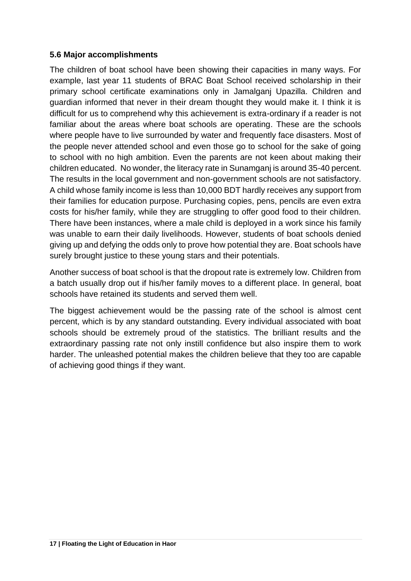#### **5.6 Major accomplishments**

The children of boat school have been showing their capacities in many ways. For example, last year 11 students of BRAC Boat School received scholarship in their primary school certificate examinations only in Jamalganj Upazilla. Children and guardian informed that never in their dream thought they would make it. I think it is difficult for us to comprehend why this achievement is extra-ordinary if a reader is not familiar about the areas where boat schools are operating. These are the schools where people have to live surrounded by water and frequently face disasters. Most of the people never attended school and even those go to school for the sake of going to school with no high ambition. Even the parents are not keen about making their children educated. No wonder, the literacy rate in Sunamganj is around 35-40 percent. The results in the local government and non-government schools are not satisfactory. A child whose family income is less than 10,000 BDT hardly receives any support from their families for education purpose. Purchasing copies, pens, pencils are even extra costs for his/her family, while they are struggling to offer good food to their children. There have been instances, where a male child is deployed in a work since his family was unable to earn their daily livelihoods. However, students of boat schools denied giving up and defying the odds only to prove how potential they are. Boat schools have surely brought justice to these young stars and their potentials.

Another success of boat school is that the dropout rate is extremely low. Children from a batch usually drop out if his/her family moves to a different place. In general, boat schools have retained its students and served them well.

The biggest achievement would be the passing rate of the school is almost cent percent, which is by any standard outstanding. Every individual associated with boat schools should be extremely proud of the statistics. The brilliant results and the extraordinary passing rate not only instill confidence but also inspire them to work harder. The unleashed potential makes the children believe that they too are capable of achieving good things if they want.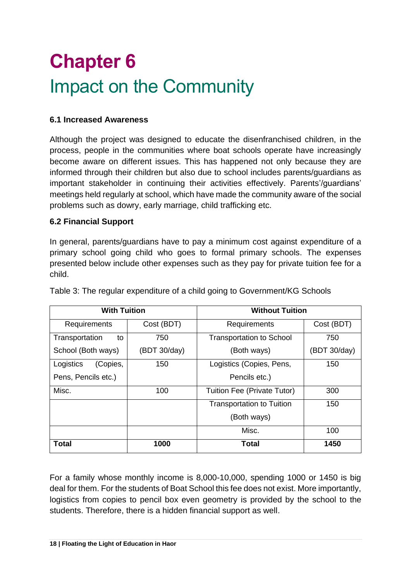# **Chapter 6** Impact on the Community

#### **6.1 Increased Awareness**

Although the project was designed to educate the disenfranchised children, in the process, people in the communities where boat schools operate have increasingly become aware on different issues. This has happened not only because they are informed through their children but also due to school includes parents/guardians as important stakeholder in continuing their activities effectively. Parents'/guardians' meetings held regularly at school, which have made the community aware of the social problems such as dowry, early marriage, child trafficking etc.

#### **6.2 Financial Support**

In general, parents/guardians have to pay a minimum cost against expenditure of a primary school going child who goes to formal primary schools. The expenses presented below include other expenses such as they pay for private tuition fee for a child.

| <b>With Tuition</b>   |              | <b>Without Tuition</b>           |              |  |
|-----------------------|--------------|----------------------------------|--------------|--|
| Requirements          | Cost (BDT)   | Requirements                     | Cost (BDT)   |  |
| Transportation<br>to  | 750          | <b>Transportation to School</b>  | 750          |  |
| School (Both ways)    | (BDT 30/day) | (Both ways)                      | (BDT 30/day) |  |
| Logistics<br>(Copies, | 150          | Logistics (Copies, Pens,         | 150          |  |
| Pens, Pencils etc.)   |              | Pencils etc.)                    |              |  |
| Misc.                 | 100          | Tuition Fee (Private Tutor)      | 300          |  |
|                       |              | <b>Transportation to Tuition</b> | 150          |  |
|                       |              | (Both ways)                      |              |  |
|                       |              | Misc.                            | 100          |  |
| Total                 | 1000         | <b>Total</b>                     | 1450         |  |

Table 3: The regular expenditure of a child going to Government/KG Schools

For a family whose monthly income is 8,000-10,000, spending 1000 or 1450 is big deal for them. For the students of Boat School this fee does not exist. More importantly, logistics from copies to pencil box even geometry is provided by the school to the students. Therefore, there is a hidden financial support as well.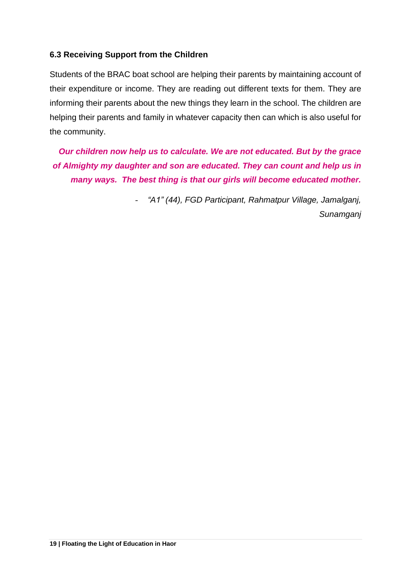#### **6.3 Receiving Support from the Children**

Students of the BRAC boat school are helping their parents by maintaining account of their expenditure or income. They are reading out different texts for them. They are informing their parents about the new things they learn in the school. The children are helping their parents and family in whatever capacity then can which is also useful for the community.

*Our children now help us to calculate. We are not educated. But by the grace of Almighty my daughter and son are educated. They can count and help us in many ways. The best thing is that our girls will become educated mother.* 

> - *"A1" (44), FGD Participant, Rahmatpur Village, Jamalganj, Sunamganj*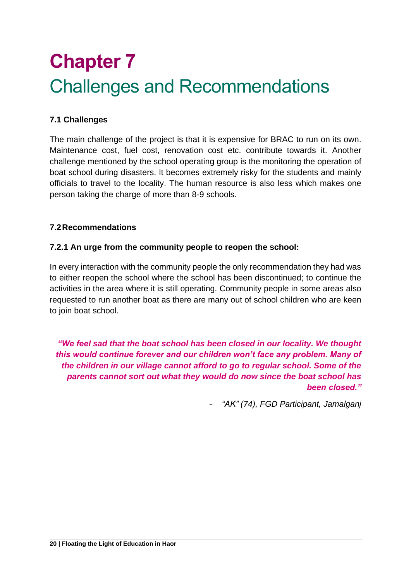## **Chapter 7** Challenges and Recommendations

#### **7.1 Challenges**

The main challenge of the project is that it is expensive for BRAC to run on its own. Maintenance cost, fuel cost, renovation cost etc. contribute towards it. Another challenge mentioned by the school operating group is the monitoring the operation of boat school during disasters. It becomes extremely risky for the students and mainly officials to travel to the locality. The human resource is also less which makes one person taking the charge of more than 8-9 schools.

#### **7.2Recommendations**

#### **7.2.1 An urge from the community people to reopen the school:**

In every interaction with the community people the only recommendation they had was to either reopen the school where the school has been discontinued; to continue the activities in the area where it is still operating. Community people in some areas also requested to run another boat as there are many out of school children who are keen to join boat school.

*"We feel sad that the boat school has been closed in our locality. We thought this would continue forever and our children won't face any problem. Many of the children in our village cannot afford to go to regular school. Some of the parents cannot sort out what they would do now since the boat school has been closed."*

- *"AK" (74), FGD Participant, Jamalganj*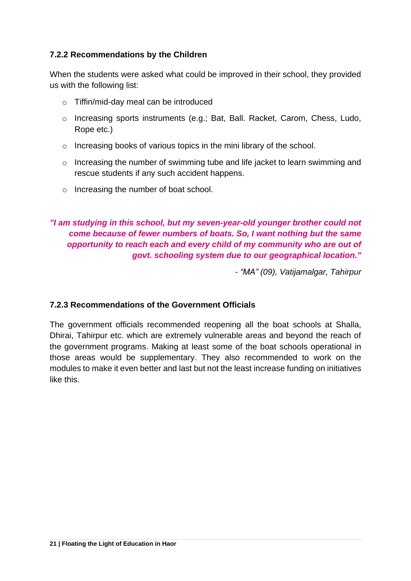#### **7.2.2 Recommendations by the Children**

When the students were asked what could be improved in their school, they provided us with the following list:

- o Tiffin/mid-day meal can be introduced
- o Increasing sports instruments (e.g.; Bat, Ball. Racket, Carom, Chess, Ludo, Rope etc.)
- o Increasing books of various topics in the mini library of the school.
- o Increasing the number of swimming tube and life jacket to learn swimming and rescue students if any such accident happens.
- o Increasing the number of boat school.

#### *"I am studying in this school, but my seven-year-old younger brother could not come because of fewer numbers of boats. So, I want nothing but the same opportunity to reach each and every child of my community who are out of govt. schooling system due to our geographical location."*

*- "MA" (09), Vatijamalgar, Tahirpur*

#### **7.2.3 Recommendations of the Government Officials**

The government officials recommended reopening all the boat schools at Shalla, Dhirai, Tahirpur etc. which are extremely vulnerable areas and beyond the reach of the government programs. Making at least some of the boat schools operational in those areas would be supplementary. They also recommended to work on the modules to make it even better and last but not the least increase funding on initiatives like this.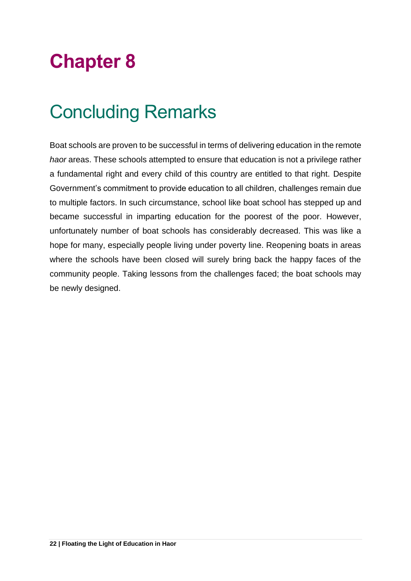## **Chapter 8**

### Concluding Remarks

Boat schools are proven to be successful in terms of delivering education in the remote *haor* areas. These schools attempted to ensure that education is not a privilege rather a fundamental right and every child of this country are entitled to that right. Despite Government's commitment to provide education to all children, challenges remain due to multiple factors. In such circumstance, school like boat school has stepped up and became successful in imparting education for the poorest of the poor. However, unfortunately number of boat schools has considerably decreased. This was like a hope for many, especially people living under poverty line. Reopening boats in areas where the schools have been closed will surely bring back the happy faces of the community people. Taking lessons from the challenges faced; the boat schools may be newly designed.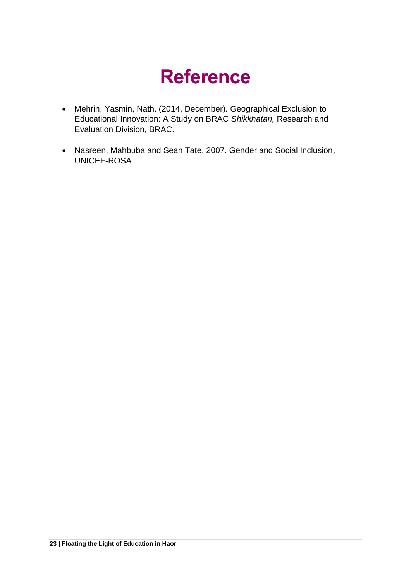## **Reference**

- Mehrin, Yasmin, Nath. (2014, December). Geographical Exclusion to Educational Innovation: A Study on BRAC *Shikkhatari,* Research and Evaluation Division, BRAC.
- Nasreen, Mahbuba and Sean Tate, 2007. Gender and Social Inclusion, UNICEF-ROSA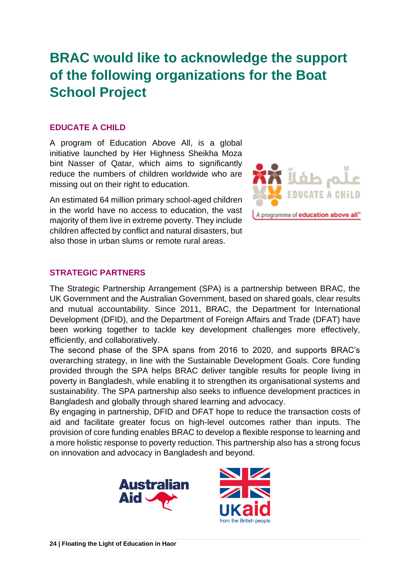### **BRAC would like to acknowledge the support of the following organizations for the Boat School Project**

#### **EDUCATE A CHILD**

A program of Education Above All, is a global initiative launched by Her Highness Sheikha Moza bint Nasser of Qatar, which aims to significantly reduce the numbers of children worldwide who are missing out on their right to education.

An estimated 64 million primary school-aged children in the world have no access to education, the vast majority of them live in extreme poverty. They include children affected by conflict and natural disasters, but also those in urban slums or remote rural areas.



#### **STRATEGIC PARTNERS**

The Strategic Partnership Arrangement (SPA) is a partnership between BRAC, the UK Government and the Australian Government, based on shared goals, clear results and mutual accountability. Since 2011, BRAC, the Department for International Development (DFID), and the Department of Foreign Affairs and Trade (DFAT) have been working together to tackle key development challenges more effectively, efficiently, and collaboratively.

The second phase of the SPA spans from 2016 to 2020, and supports BRAC's overarching strategy, in line with the Sustainable Development Goals. Core funding provided through the SPA helps BRAC deliver tangible results for people living in poverty in Bangladesh, while enabling it to strengthen its organisational systems and sustainability. The SPA partnership also seeks to influence development practices in Bangladesh and globally through shared learning and advocacy.

By engaging in partnership, DFID and DFAT hope to reduce the transaction costs of aid and facilitate greater focus on high-level outcomes rather than inputs. The provision of core funding enables BRAC to develop a flexible response to learning and a more holistic response to poverty reduction. This partnership also has a strong focus on innovation and advocacy in Bangladesh and beyond.